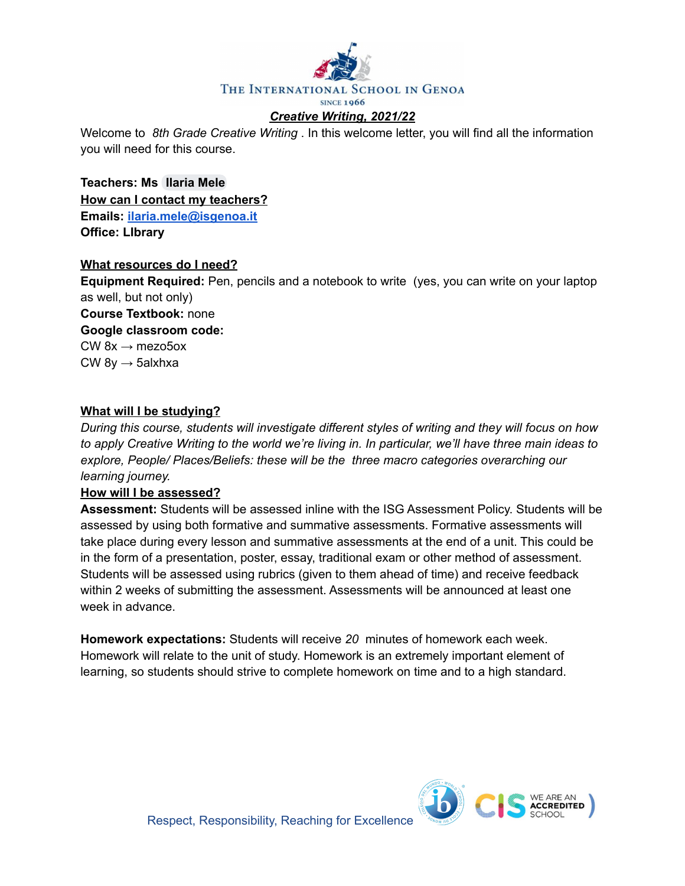

Welcome to *8th Grade Creative Writing* . In this welcome letter, you will find all the information you will need for this course.

**Teachers: Ms [Ilaria](mailto:ilaria.mele@isgenoa.it) Mele How can I contact my teachers? Emails: [ilaria.mele@isgenoa.it](mailto:ilaria.mele@isgenoa.it) Office: LIbrary**

#### **What resources do I need?**

**Equipment Required:** Pen, pencils and a notebook to write (yes, you can write on your laptop as well, but not only)

**Course Textbook:** none **Google classroom code:** CW  $8x \rightarrow$  mezo5ox  $CW$  8y  $\rightarrow$  5alxhxa

#### **What will I be studying?**

*During this course, students will investigate different styles of writing and they will focus on how* to apply Creative Writing to the world we're living in. In particular, we'll have three main ideas to *explore, People/ Places/Beliefs: these will be the three macro categories overarching our learning journey.*

#### **How will I be assessed?**

**Assessment:** Students will be assessed inline with the ISG Assessment Policy. Students will be assessed by using both formative and summative assessments. Formative assessments will take place during every lesson and summative assessments at the end of a unit. This could be in the form of a presentation, poster, essay, traditional exam or other method of assessment. Students will be assessed using rubrics (given to them ahead of time) and receive feedback within 2 weeks of submitting the assessment. Assessments will be announced at least one week in advance.

**Homework expectations:** Students will receive *20* minutes of homework each week. Homework will relate to the unit of study. Homework is an extremely important element of learning, so students should strive to complete homework on time and to a high standard.

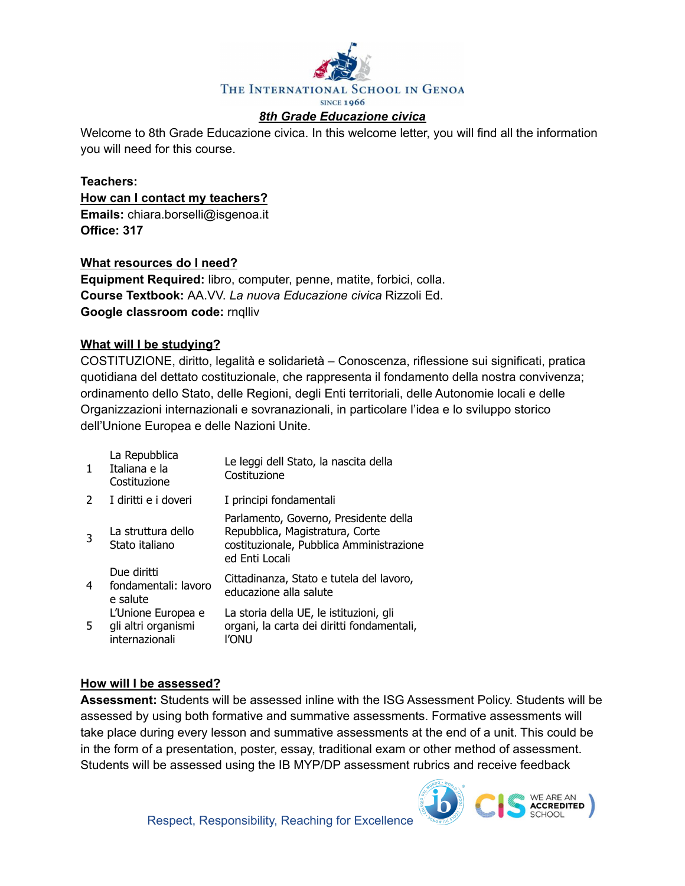

Welcome to 8th Grade Educazione civica. In this welcome letter, you will find all the information you will need for this course.

#### **Teachers: How can I contact my teachers? Emails:** chiara.borselli@isgenoa.it **Office: 317**

#### **What resources do I need?**

**Equipment Required:** libro, computer, penne, matite, forbici, colla. **Course Textbook:** AA.VV. *La nuova Educazione civica* Rizzoli Ed. **Google classroom code:** rnqlliv

#### **What will I be studying?**

COSTITUZIONE, diritto, legalità e solidarietà – Conoscenza, riflessione sui significati, pratica quotidiana del dettato costituzionale, che rappresenta il fondamento della nostra convivenza; ordinamento dello Stato, delle Regioni, degli Enti territoriali, delle Autonomie locali e delle Organizzazioni internazionali e sovranazionali, in particolare l'idea e lo sviluppo storico dell'Unione Europea e delle Nazioni Unite.

| $\mathbf{1}$  | La Repubblica<br>Italiana e la<br>Costituzione              | Le leggi dell Stato, la nascita della<br>Costituzione                                                                                  |
|---------------|-------------------------------------------------------------|----------------------------------------------------------------------------------------------------------------------------------------|
| $\mathcal{L}$ | I diritti e i doveri                                        | I principi fondamentali                                                                                                                |
| 3             | La struttura dello<br>Stato italiano                        | Parlamento, Governo, Presidente della<br>Repubblica, Magistratura, Corte<br>costituzionale, Pubblica Amministrazione<br>ed Enti Locali |
| 4             | Due diritti<br>fondamentali: lavoro<br>e salute             | Cittadinanza, Stato e tutela del lavoro,<br>educazione alla salute                                                                     |
| 5             | L'Unione Europea e<br>gli altri organismi<br>internazionali | La storia della UE, le istituzioni, gli<br>organi, la carta dei diritti fondamentali,<br>ľonu                                          |

#### **How will I be assessed?**

**Assessment:** Students will be assessed inline with the ISG Assessment Policy. Students will be assessed by using both formative and summative assessments. Formative assessments will take place during every lesson and summative assessments at the end of a unit. This could be in the form of a presentation, poster, essay, traditional exam or other method of assessment. Students will be assessed using the IB MYP/DP assessment rubrics and receive feedback

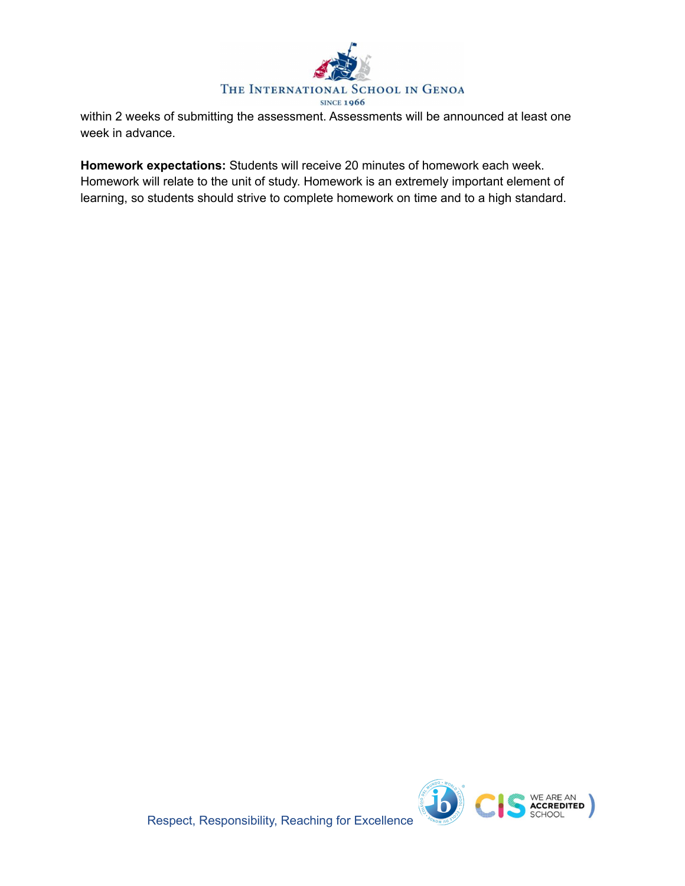

within 2 weeks of submitting the assessment. Assessments will be announced at least one week in advance.

**Homework expectations:** Students will receive 20 minutes of homework each week. Homework will relate to the unit of study. Homework is an extremely important element of learning, so students should strive to complete homework on time and to a high standard.



Respect, Responsibility, Reaching for Excellence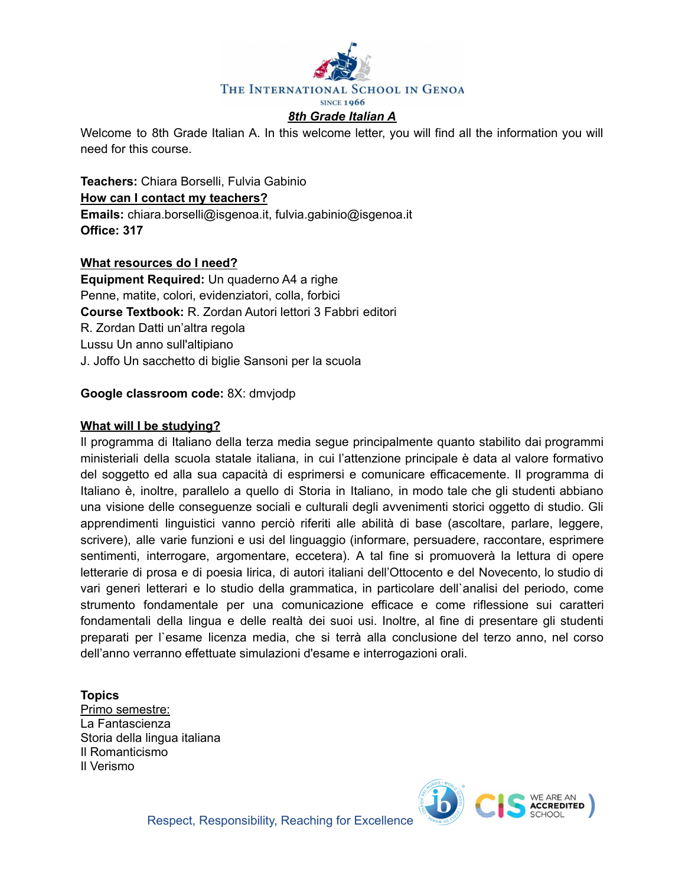

Welcome to 8th Grade Italian A. In this welcome letter, you will find all the information you will need for this course.

**Teachers:** Chiara Borselli, Fulvia Gabinio **How can I contact my teachers? Emails:** chiara.borselli@isgenoa.it, fulvia.gabinio@isgenoa.it **Office: 317**

#### **What resources do I need?**

**Equipment Required:** Un quaderno A4 a righe Penne, matite, colori, evidenziatori, colla, forbici **Course Textbook:** R. Zordan Autori lettori 3 Fabbri editori R. Zordan Datti un'altra regola Lussu Un anno sull'altipiano J. Joffo Un sacchetto di biglie Sansoni per la scuola

#### **Google classroom code:** 8X: dmvjodp

#### **What will I be studying?**

Il programma di Italiano della terza media segue principalmente quanto stabilito dai programmi ministeriali della scuola statale italiana, in cui l'attenzione principale è data al valore formativo del soggetto ed alla sua capacità di esprimersi e comunicare efficacemente. Il programma di Italiano è, inoltre, parallelo a quello di Storia in Italiano, in modo tale che gli studenti abbiano una visione delle conseguenze sociali e culturali degli avvenimenti storici oggetto di studio. Gli apprendimenti linguistici vanno perciò riferiti alle abilità di base (ascoltare, parlare, leggere, scrivere), alle varie funzioni e usi del linguaggio (informare, persuadere, raccontare, esprimere sentimenti, interrogare, argomentare, eccetera). A tal fine si promuoverà la lettura di opere letterarie di prosa e di poesia lirica, di autori italiani dell'Ottocento e del Novecento, lo studio di vari generi letterari e lo studio della grammatica, in particolare dell`analisi del periodo, come strumento fondamentale per una comunicazione efficace e come riflessione sui caratteri fondamentali della lingua e delle realtà dei suoi usi. Inoltre, al fine di presentare gli studenti preparati per l`esame licenza media, che si terrà alla conclusione del terzo anno, nel corso dell'anno verranno effettuate simulazioni d'esame e interrogazioni orali.

#### **Topics**

Primo semestre: La Fantascienza Storia della lingua italiana Il Romanticismo Il Verismo



Respect, Responsibility, Reaching for Excellence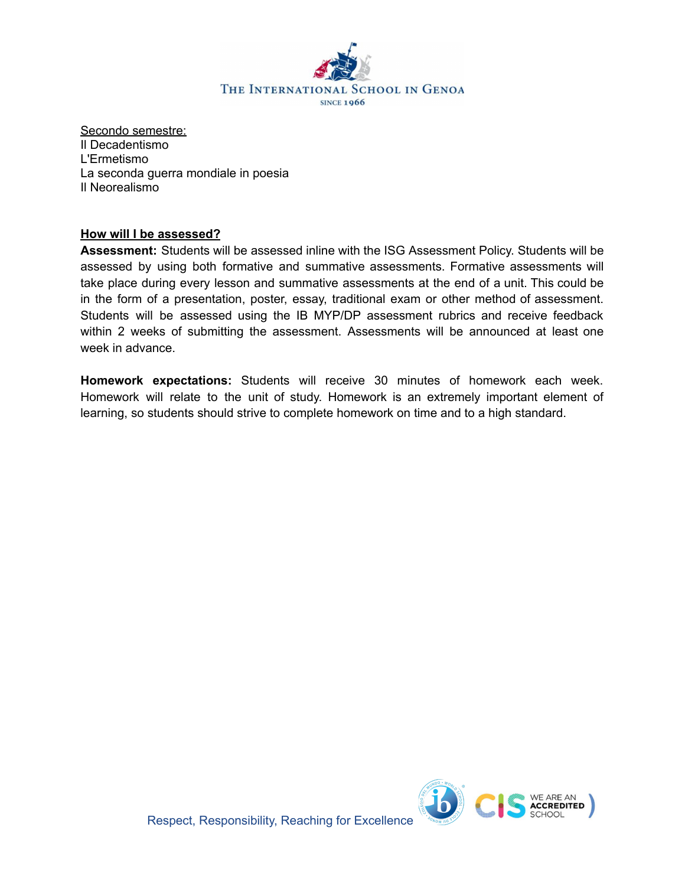

Secondo semestre: Il Decadentismo L'Ermetismo La seconda guerra mondiale in poesia Il Neorealismo

#### **How will I be assessed?**

**Assessment:** Students will be assessed inline with the ISG Assessment Policy. Students will be assessed by using both formative and summative assessments. Formative assessments will take place during every lesson and summative assessments at the end of a unit. This could be in the form of a presentation, poster, essay, traditional exam or other method of assessment. Students will be assessed using the IB MYP/DP assessment rubrics and receive feedback within 2 weeks of submitting the assessment. Assessments will be announced at least one week in advance.

**Homework expectations:** Students will receive 30 minutes of homework each week. Homework will relate to the unit of study. Homework is an extremely important element of learning, so students should strive to complete homework on time and to a high standard.

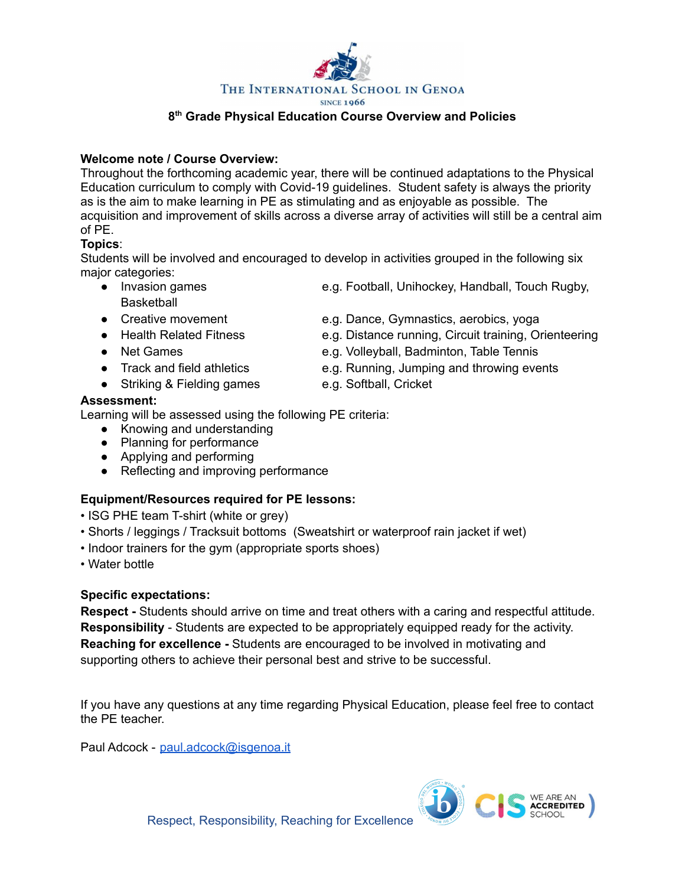

as is the aim to make learning in PE as stimulating and as enjoyable as possible. The acquisition and improvement of skills across a diverse array of activities will still be a central aim

#### of PE. **Topics**:

Students will be involved and encouraged to develop in activities grouped in the following six major categories:

- **Basketball**
- 
- 

**Welcome note / Course Overview:**

- 
- 
- Striking & Fielding games e.g. Softball, Cricket

# **Assessment:**

Learning will be assessed using the following PE criteria:

- Knowing and understanding
- Planning for performance
- Applying and performing
- Reflecting and improving performance

# **Equipment/Resources required for PE lessons:**

- ISG PHE team T-shirt (white or grey)
- Shorts / leggings / Tracksuit bottoms (Sweatshirt or waterproof rain jacket if wet)
- Indoor trainers for the gym (appropriate sports shoes)
- Water bottle

# **Specific expectations:**

**Respect -** Students should arrive on time and treat others with a caring and respectful attitude. **Responsibility** - Students are expected to be appropriately equipped ready for the activity. **Reaching for excellence -** Students are encouraged to be involved in motivating and supporting others to achieve their personal best and strive to be successful.

If you have any questions at any time regarding Physical Education, please feel free to contact the PE teacher.

Paul Adcock - [paul.adcock@isgenoa.it](mailto:paul.adcock@isgenoa.it)

- Invasion games e.g. Football, Unihockey, Handball, Touch Rugby,
- Creative movement e.g. Dance, Gymnastics, aerobics, yoga
- Health Related Fitness e.g. Distance running, Circuit training, Orienteering
- Net Games e.g. Volleyball, Badminton, Table Tennis
- Track and field athletics e.g. Running, Jumping and throwing events
	-





# **8 th Grade Physical Education Course Overview and Policies**

Throughout the forthcoming academic year, there will be continued adaptations to the Physical Education curriculum to comply with Covid-19 guidelines. Student safety is always the priority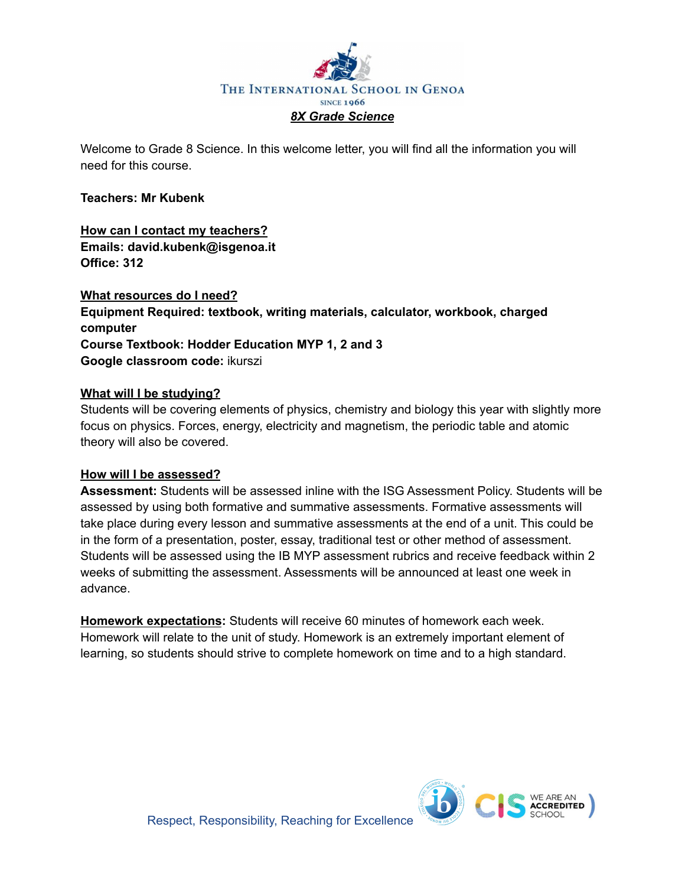

Welcome to Grade 8 Science. In this welcome letter, you will find all the information you will need for this course.

#### **Teachers: Mr Kubenk**

# **How can I contact my teachers? Emails: david.kubenk@isgenoa.it Office: 312**

**What resources do I need? Equipment Required: textbook, writing materials, calculator, workbook, charged computer Course Textbook: Hodder Education MYP 1, 2 and 3 Google classroom code:** ikurszi

#### **What will I be studying?**

Students will be covering elements of physics, chemistry and biology this year with slightly more focus on physics. Forces, energy, electricity and magnetism, the periodic table and atomic theory will also be covered.

#### **How will I be assessed?**

**Assessment:** Students will be assessed inline with the ISG Assessment Policy. Students will be assessed by using both formative and summative assessments. Formative assessments will take place during every lesson and summative assessments at the end of a unit. This could be in the form of a presentation, poster, essay, traditional test or other method of assessment. Students will be assessed using the IB MYP assessment rubrics and receive feedback within 2 weeks of submitting the assessment. Assessments will be announced at least one week in advance.

**Homework expectations:** Students will receive 60 minutes of homework each week. Homework will relate to the unit of study. Homework is an extremely important element of learning, so students should strive to complete homework on time and to a high standard.

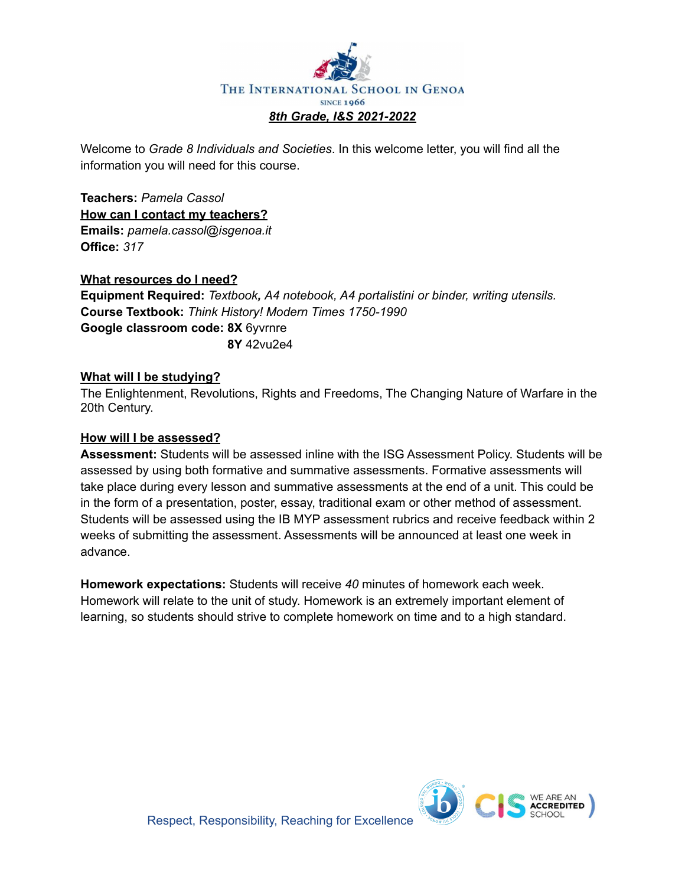

Welcome to *Grade 8 Individuals and Societies*. In this welcome letter, you will find all the information you will need for this course.

**Teachers:** *Pamela Cassol* **How can I contact my teachers? Emails:** *pamela.cassol@isgenoa.it* **Office:** *317*

#### **What resources do I need?**

**Equipment Required:** *Textbook, A4 notebook, A4 portalistini or binder, writing utensils.* **Course Textbook:** *Think History! Modern Times 1750-1990* **Google classroom code: 8X** 6yvrnre **8Y** 42vu2e4

#### **What will I be studying?**

The Enlightenment, Revolutions, Rights and Freedoms, The Changing Nature of Warfare in the 20th Century.

#### **How will I be assessed?**

**Assessment:** Students will be assessed inline with the ISG Assessment Policy. Students will be assessed by using both formative and summative assessments. Formative assessments will take place during every lesson and summative assessments at the end of a unit. This could be in the form of a presentation, poster, essay, traditional exam or other method of assessment. Students will be assessed using the IB MYP assessment rubrics and receive feedback within 2 weeks of submitting the assessment. Assessments will be announced at least one week in advance.

**Homework expectations:** Students will receive *40* minutes of homework each week. Homework will relate to the unit of study. Homework is an extremely important element of learning, so students should strive to complete homework on time and to a high standard.

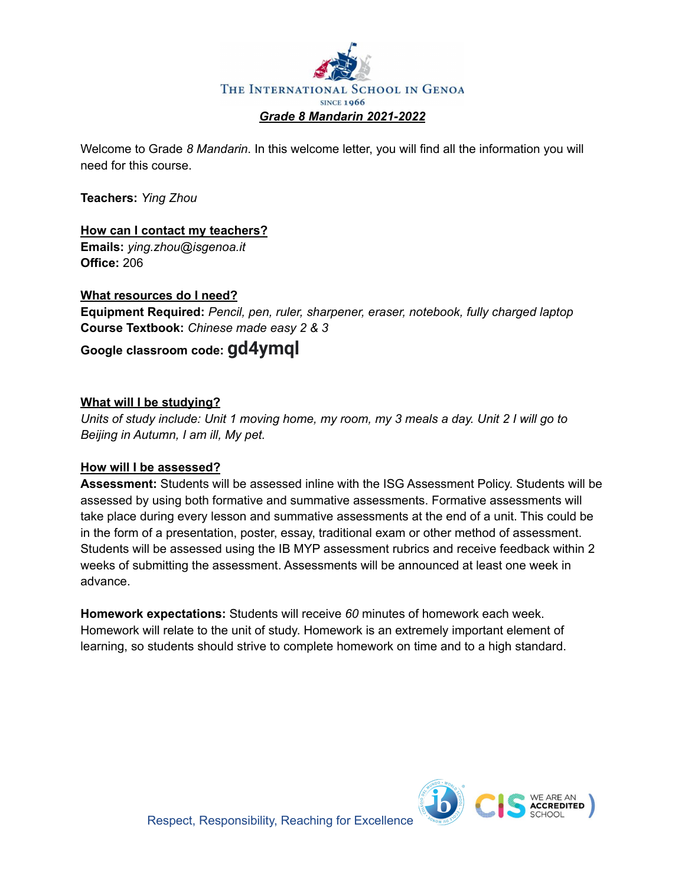

Welcome to Grade *8 Mandarin*. In this welcome letter, you will find all the information you will need for this course.

**Teachers:** *Ying Zhou*

# **How can I contact my teachers?**

**Emails:** *ying.zhou@isgenoa.it* **Office:** 206

# **What resources do I need?**

**Equipment Required:** *Pencil, pen, ruler, sharpener, eraser, notebook, fully charged laptop* **Course Textbook:** *Chinese made easy 2 & 3*

# **Google classroom code: gd4ymql**

# **What will I be studying?**

Units of study include: Unit 1 moving home, my room, my 3 meals a day. Unit 2 I will go to *Beijing in Autumn, I am ill, My pet.*

#### **How will I be assessed?**

**Assessment:** Students will be assessed inline with the ISG Assessment Policy. Students will be assessed by using both formative and summative assessments. Formative assessments will take place during every lesson and summative assessments at the end of a unit. This could be in the form of a presentation, poster, essay, traditional exam or other method of assessment. Students will be assessed using the IB MYP assessment rubrics and receive feedback within 2 weeks of submitting the assessment. Assessments will be announced at least one week in advance.

**Homework expectations:** Students will receive *60* minutes of homework each week. Homework will relate to the unit of study. Homework is an extremely important element of learning, so students should strive to complete homework on time and to a high standard.

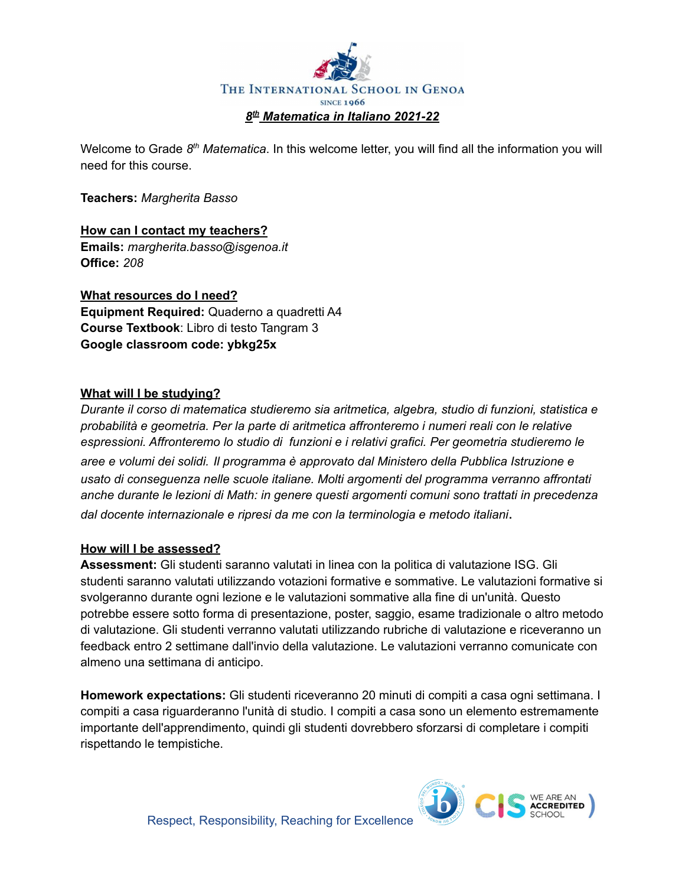

Welcome to Grade 8<sup>th</sup> Matematica. In this welcome letter, you will find all the information you will need for this course.

**Teachers:** *Margherita Basso*

**How can I contact my teachers? Emails:** *margherita.basso@isgenoa.it* **Office:** *208*

**What resources do I need? Equipment Required:** Quaderno a quadretti A4 **Course Textbook**: Libro di testo Tangram 3 **Google classroom code: ybkg25x**

# **What will I be studying?**

*Durante il corso di matematica studieremo sia aritmetica, algebra, studio di funzioni, statistica e probabilità e geometria. Per la parte di aritmetica affronteremo i numeri reali con le relative espressioni. Affronteremo lo studio di funzioni e i relativi grafici. Per geometria studieremo le aree e volumi dei solidi. Il programma è approvato dal Ministero della Pubblica Istruzione e usato di conseguenza nelle scuole italiane. Molti argomenti del programma verranno affrontati anche durante le lezioni di Math: in genere questi argomenti comuni sono trattati in precedenza dal docente internazionale e ripresi da me con la terminologia e metodo italiani*.

#### **How will I be assessed?**

**Assessment:** Gli studenti saranno valutati in linea con la politica di valutazione ISG. Gli studenti saranno valutati utilizzando votazioni formative e sommative. Le valutazioni formative si svolgeranno durante ogni lezione e le valutazioni sommative alla fine di un'unità. Questo potrebbe essere sotto forma di presentazione, poster, saggio, esame tradizionale o altro metodo di valutazione. Gli studenti verranno valutati utilizzando rubriche di valutazione e riceveranno un feedback entro 2 settimane dall'invio della valutazione. Le valutazioni verranno comunicate con almeno una settimana di anticipo.

**Homework expectations:** Gli studenti riceveranno 20 minuti di compiti a casa ogni settimana. I compiti a casa riguarderanno l'unità di studio. I compiti a casa sono un elemento estremamente importante dell'apprendimento, quindi gli studenti dovrebbero sforzarsi di completare i compiti rispettando le tempistiche.

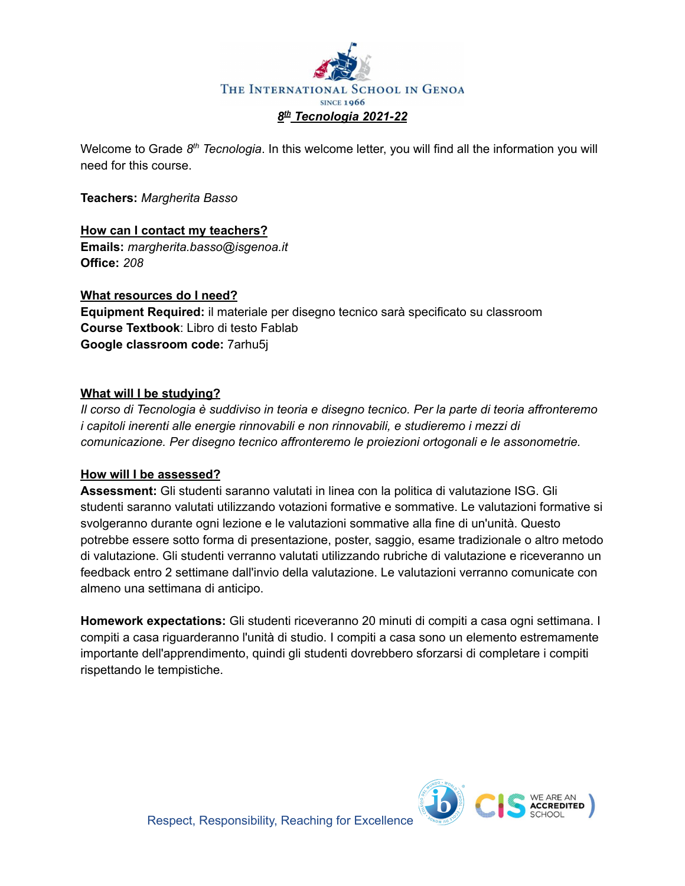

Welcome to Grade 8<sup>th</sup> Tecnologia. In this welcome letter, you will find all the information you will need for this course.

**Teachers:** *Margherita Basso*

# **How can I contact my teachers?**

**Emails:** *margherita.basso@isgenoa.it* **Office:** *208*

# **What resources do I need?**

**Equipment Required:** il materiale per disegno tecnico sarà specificato su classroom **Course Textbook**: Libro di testo Fablab **Google classroom code:** 7arhu5j

# **What will I be studying?**

*Il corso di Tecnologia è suddiviso in teoria e disegno tecnico. Per la parte di teoria affronteremo i capitoli inerenti alle energie rinnovabili e non rinnovabili, e studieremo i mezzi di comunicazione. Per disegno tecnico affronteremo le proiezioni ortogonali e le assonometrie.*

#### **How will I be assessed?**

**Assessment:** Gli studenti saranno valutati in linea con la politica di valutazione ISG. Gli studenti saranno valutati utilizzando votazioni formative e sommative. Le valutazioni formative si svolgeranno durante ogni lezione e le valutazioni sommative alla fine di un'unità. Questo potrebbe essere sotto forma di presentazione, poster, saggio, esame tradizionale o altro metodo di valutazione. Gli studenti verranno valutati utilizzando rubriche di valutazione e riceveranno un feedback entro 2 settimane dall'invio della valutazione. Le valutazioni verranno comunicate con almeno una settimana di anticipo.

**Homework expectations:** Gli studenti riceveranno 20 minuti di compiti a casa ogni settimana. I compiti a casa riguarderanno l'unità di studio. I compiti a casa sono un elemento estremamente importante dell'apprendimento, quindi gli studenti dovrebbero sforzarsi di completare i compiti rispettando le tempistiche.

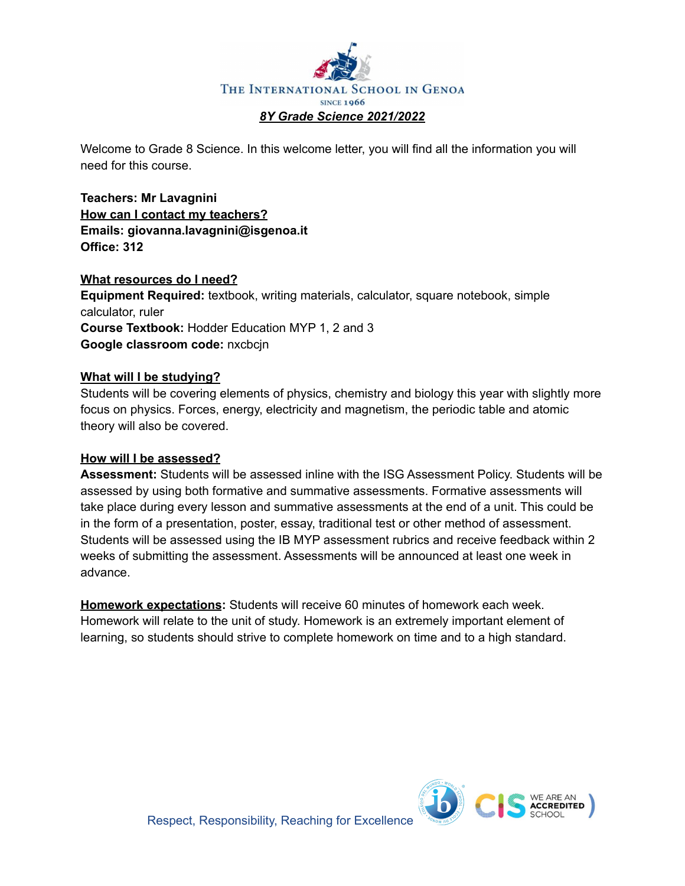

Welcome to Grade 8 Science. In this welcome letter, you will find all the information you will need for this course.

**Teachers: Mr Lavagnini How can I contact my teachers? Emails: giovanna.lavagnini@isgenoa.it Office: 312**

#### **What resources do I need?**

**Equipment Required:** textbook, writing materials, calculator, square notebook, simple calculator, ruler **Course Textbook:** Hodder Education MYP 1, 2 and 3 **Google classroom code:** nxcbcjn

# **What will I be studying?**

Students will be covering elements of physics, chemistry and biology this year with slightly more focus on physics. Forces, energy, electricity and magnetism, the periodic table and atomic theory will also be covered.

#### **How will I be assessed?**

**Assessment:** Students will be assessed inline with the ISG Assessment Policy. Students will be assessed by using both formative and summative assessments. Formative assessments will take place during every lesson and summative assessments at the end of a unit. This could be in the form of a presentation, poster, essay, traditional test or other method of assessment. Students will be assessed using the IB MYP assessment rubrics and receive feedback within 2 weeks of submitting the assessment. Assessments will be announced at least one week in advance.

**Homework expectations:** Students will receive 60 minutes of homework each week. Homework will relate to the unit of study. Homework is an extremely important element of learning, so students should strive to complete homework on time and to a high standard.

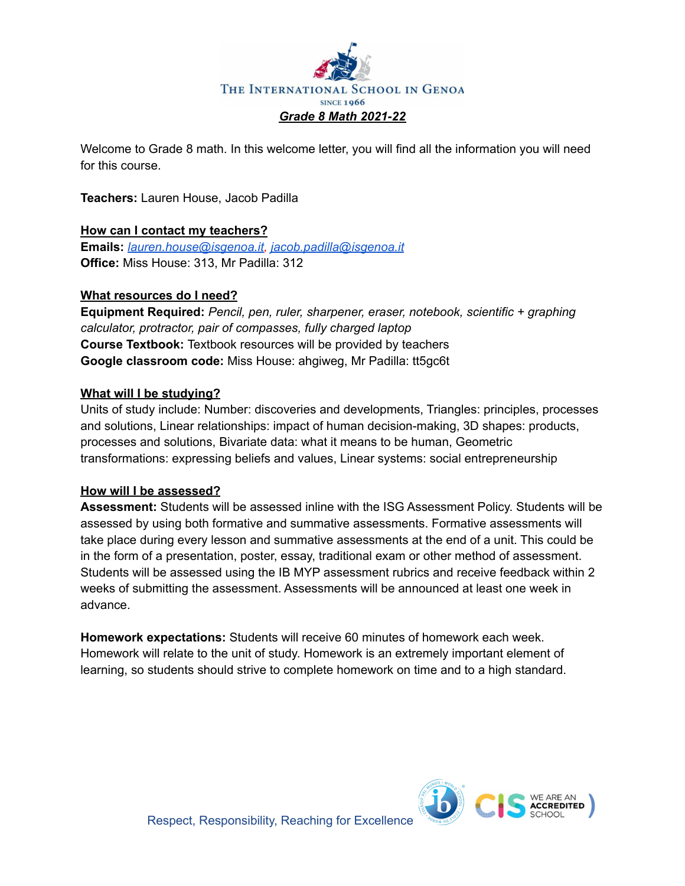

Welcome to Grade 8 math. In this welcome letter, you will find all the information you will need for this course.

**Teachers:** Lauren House, Jacob Padilla

# **How can I contact my teachers?**

**Emails:** *[lauren.house@isgenoa.it,](mailto:lauren.house@isgenoa.it) [jacob.padilla@isgenoa.it](mailto:jacob.padilla@isgenoa.it)* **Office:** Miss House: 313, Mr Padilla: 312

# **What resources do I need?**

**Equipment Required:** *Pencil, pen, ruler, sharpener, eraser, notebook, scientific + graphing calculator, protractor, pair of compasses, fully charged laptop* **Course Textbook:** Textbook resources will be provided by teachers **Google classroom code:** Miss House: ahgiweg, Mr Padilla: tt5gc6t

#### **What will I be studying?**

Units of study include: Number: discoveries and developments, Triangles: principles, processes and solutions, Linear relationships: impact of human decision-making, 3D shapes: products, processes and solutions, Bivariate data: what it means to be human, Geometric transformations: expressing beliefs and values, Linear systems: social entrepreneurship

#### **How will I be assessed?**

**Assessment:** Students will be assessed inline with the ISG Assessment Policy. Students will be assessed by using both formative and summative assessments. Formative assessments will take place during every lesson and summative assessments at the end of a unit. This could be in the form of a presentation, poster, essay, traditional exam or other method of assessment. Students will be assessed using the IB MYP assessment rubrics and receive feedback within 2 weeks of submitting the assessment. Assessments will be announced at least one week in advance.

**Homework expectations:** Students will receive 60 minutes of homework each week. Homework will relate to the unit of study. Homework is an extremely important element of learning, so students should strive to complete homework on time and to a high standard.

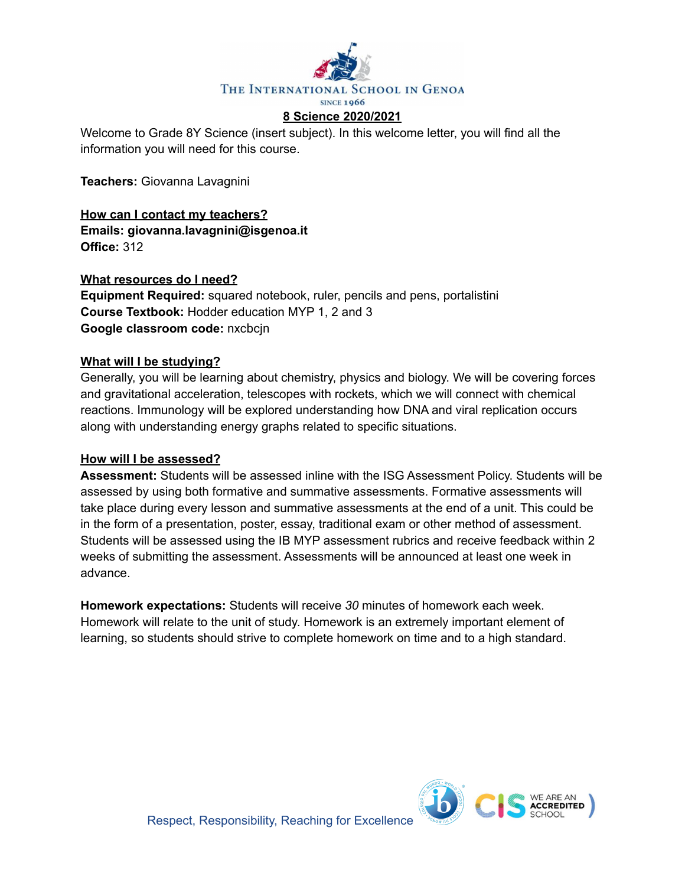

Welcome to Grade 8Y Science (insert subject). In this welcome letter, you will find all the information you will need for this course.

**Teachers:** Giovanna Lavagnini

**How can I contact my teachers? Emails: giovanna.lavagnini@isgenoa.it Office:** 312

**What resources do I need?**

**Equipment Required:** squared notebook, ruler, pencils and pens, portalistini **Course Textbook:** Hodder education MYP 1, 2 and 3 **Google classroom code:** nxcbcjn

#### **What will I be studying?**

Generally, you will be learning about chemistry, physics and biology. We will be covering forces and gravitational acceleration, telescopes with rockets, which we will connect with chemical reactions. Immunology will be explored understanding how DNA and viral replication occurs along with understanding energy graphs related to specific situations.

#### **How will I be assessed?**

**Assessment:** Students will be assessed inline with the ISG Assessment Policy. Students will be assessed by using both formative and summative assessments. Formative assessments will take place during every lesson and summative assessments at the end of a unit. This could be in the form of a presentation, poster, essay, traditional exam or other method of assessment. Students will be assessed using the IB MYP assessment rubrics and receive feedback within 2 weeks of submitting the assessment. Assessments will be announced at least one week in advance.

**Homework expectations:** Students will receive *30* minutes of homework each week. Homework will relate to the unit of study. Homework is an extremely important element of learning, so students should strive to complete homework on time and to a high standard.

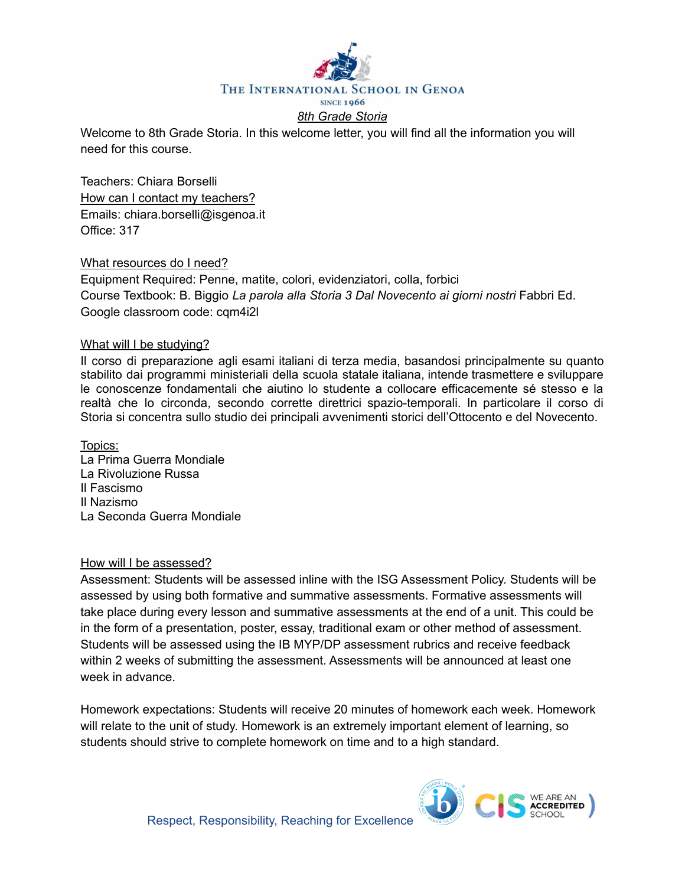

Welcome to 8th Grade Storia. In this welcome letter, you will find all the information you will need for this course.

Teachers: Chiara Borselli How can I contact my teachers? Emails: chiara.borselli@isgenoa.it Office: 317

#### What resources do I need?

Equipment Required: Penne, matite, colori, evidenziatori, colla, forbici Course Textbook: B. Biggio *La parola alla Storia 3 Dal Novecento ai giorni nostri* Fabbri Ed. Google classroom code: cqm4i2l

#### What will I be studying?

Il corso di preparazione agli esami italiani di terza media, basandosi principalmente su quanto stabilito dai programmi ministeriali della scuola statale italiana, intende trasmettere e sviluppare le conoscenze fondamentali che aiutino lo studente a collocare efficacemente sé stesso e la realtà che lo circonda, secondo corrette direttrici spazio-temporali. In particolare il corso di Storia si concentra sullo studio dei principali avvenimenti storici dell'Ottocento e del Novecento.

Topics: La Prima Guerra Mondiale La Rivoluzione Russa Il Fascismo Il Nazismo La Seconda Guerra Mondiale

#### How will I be assessed?

Assessment: Students will be assessed inline with the ISG Assessment Policy. Students will be assessed by using both formative and summative assessments. Formative assessments will take place during every lesson and summative assessments at the end of a unit. This could be in the form of a presentation, poster, essay, traditional exam or other method of assessment. Students will be assessed using the IB MYP/DP assessment rubrics and receive feedback within 2 weeks of submitting the assessment. Assessments will be announced at least one week in advance.

Homework expectations: Students will receive 20 minutes of homework each week. Homework will relate to the unit of study. Homework is an extremely important element of learning, so students should strive to complete homework on time and to a high standard.

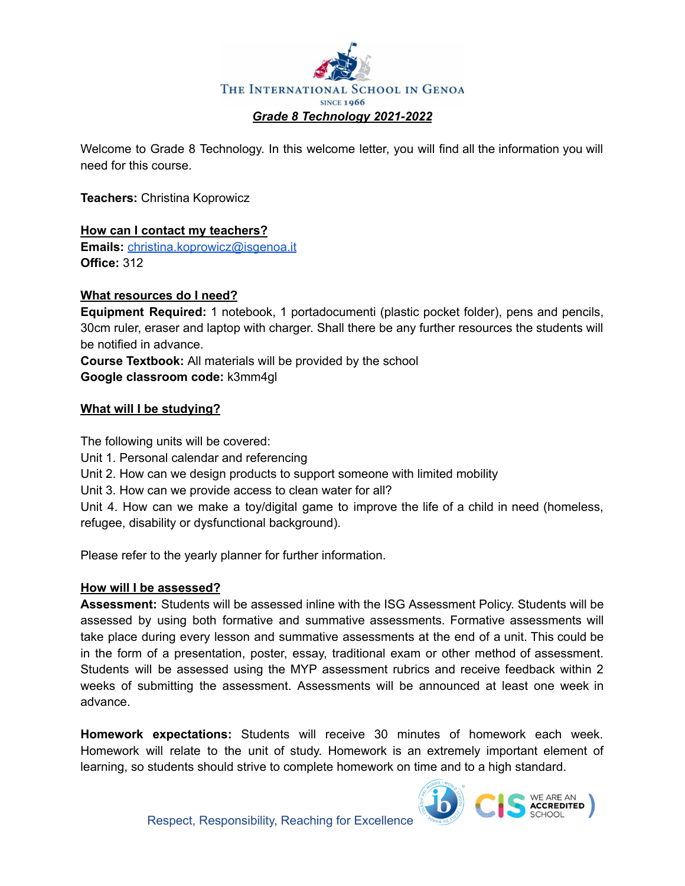

Welcome to Grade 8 Technology. In this welcome letter, you will find all the information you will need for this course.

**Teachers:** Christina Koprowicz

# **How can I contact my teachers?**

**Emails:** [christina.koprowicz@isgenoa.it](mailto:christina.koprowicz@isgenoa.it) **Office:** 312

#### **What resources do I need?**

**Equipment Required:** 1 notebook, 1 portadocumenti (plastic pocket folder), pens and pencils, 30cm ruler, eraser and laptop with charger. Shall there be any further resources the students will be notified in advance.

**Course Textbook:** All materials will be provided by the school **Google classroom code:** k3mm4gl

# **What will I be studying?**

The following units will be covered:

Unit 1. Personal calendar and referencing

Unit 2. How can we design products to support someone with limited mobility

Unit 3. How can we provide access to clean water for all?

Unit 4. How can we make a toy/digital game to improve the life of a child in need (homeless, refugee, disability or dysfunctional background).

Please refer to the yearly planner for further information.

#### **How will I be assessed?**

**Assessment:** Students will be assessed inline with the ISG Assessment Policy. Students will be assessed by using both formative and summative assessments. Formative assessments will take place during every lesson and summative assessments at the end of a unit. This could be in the form of a presentation, poster, essay, traditional exam or other method of assessment. Students will be assessed using the MYP assessment rubrics and receive feedback within 2 weeks of submitting the assessment. Assessments will be announced at least one week in advance.

**Homework expectations:** Students will receive 30 minutes of homework each week. Homework will relate to the unit of study. Homework is an extremely important element of learning, so students should strive to complete homework on time and to a high standard.

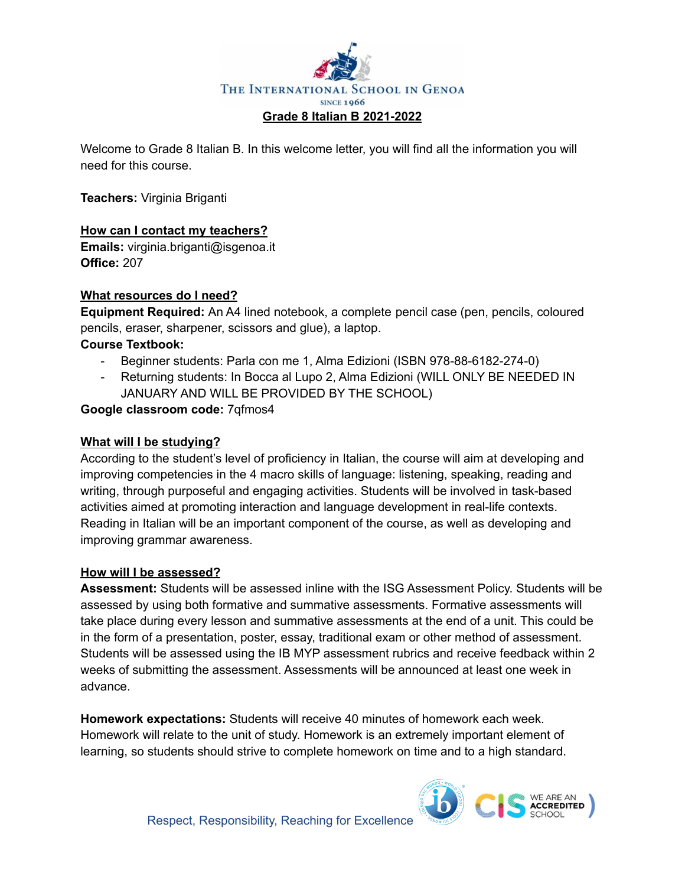

Welcome to Grade 8 Italian B. In this welcome letter, you will find all the information you will need for this course.

**Teachers:** Virginia Briganti

# **How can I contact my teachers?**

**Emails:** virginia.briganti@isgenoa.it **Office:** 207

#### **What resources do I need?**

**Equipment Required:** An A4 lined notebook, a complete pencil case (pen, pencils, coloured pencils, eraser, sharpener, scissors and glue), a laptop.

# **Course Textbook:**

- Beginner students: Parla con me 1, Alma Edizioni (ISBN 978-88-6182-274-0)
- Returning students: In Bocca al Lupo 2, Alma Edizioni (WILL ONLY BE NEEDED IN JANUARY AND WILL BE PROVIDED BY THE SCHOOL)

#### **Google classroom code:** 7qfmos4

#### **What will I be studying?**

According to the student's level of proficiency in Italian, the course will aim at developing and improving competencies in the 4 macro skills of language: listening, speaking, reading and writing, through purposeful and engaging activities. Students will be involved in task-based activities aimed at promoting interaction and language development in real-life contexts. Reading in Italian will be an important component of the course, as well as developing and improving grammar awareness.

#### **How will I be assessed?**

**Assessment:** Students will be assessed inline with the ISG Assessment Policy. Students will be assessed by using both formative and summative assessments. Formative assessments will take place during every lesson and summative assessments at the end of a unit. This could be in the form of a presentation, poster, essay, traditional exam or other method of assessment. Students will be assessed using the IB MYP assessment rubrics and receive feedback within 2 weeks of submitting the assessment. Assessments will be announced at least one week in advance.

**Homework expectations:** Students will receive 40 minutes of homework each week. Homework will relate to the unit of study. Homework is an extremely important element of learning, so students should strive to complete homework on time and to a high standard.

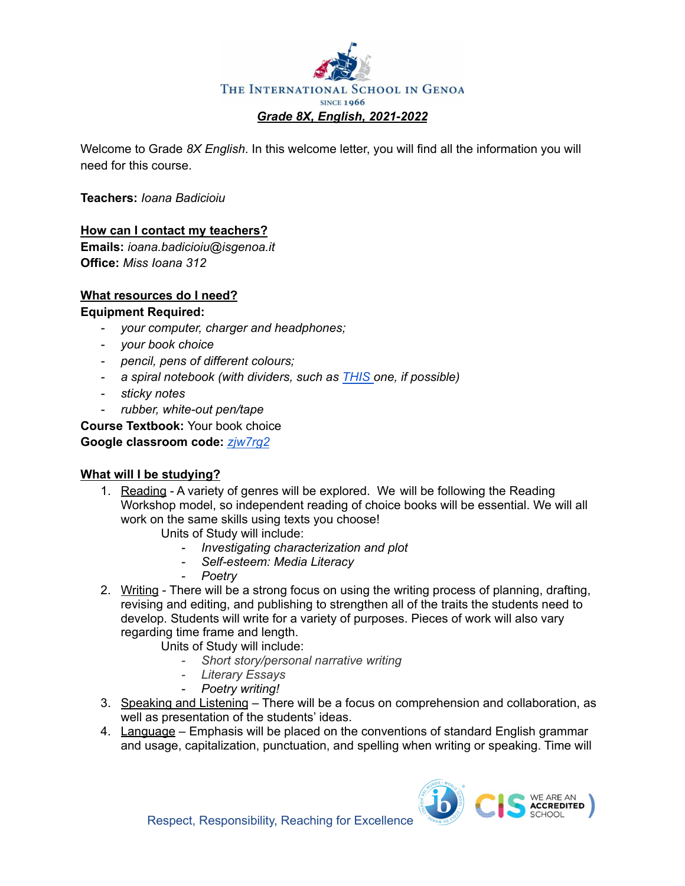

Welcome to Grade *8X English*. In this welcome letter, you will find all the information you will need for this course.

**Teachers:** *Ioana Badicioiu*

#### **How can I contact my teachers?**

**Emails:** *ioana.badicioiu@isgenoa.it* **Office:** *Miss Ioana 312*

# **What resources do I need?**

#### **Equipment Required:**

- *- your computer, charger and headphones;*
- *- your book choice*
- *- pencil, pens of different colours;*
- *- a spiral notebook (with dividers, such as [THIS](https://www.amazon.com/Oxford-3-Subject-Notebooks-Assorted-10386/dp/B07CL6PZMM/ref=sxin_7_ac_d_pm?ac_md=2-0-VW5kZXIgJDE1-ac_d_pm&cv_ct_cx=notebooks+with+dividers&dchild=1&keywords=notebooks+with+dividers&pd_rd_i=B07CL6PZMM&pd_rd_r=5b5da13f-7185-43b4-bf26-b9b2bbd6bb4c&pd_rd_w=2pIJl&pd_rd_wg=d47ih&pf_rd_p=6fa2c4b2-cf77-4ff1-a22d-406e154f5c4b&pf_rd_r=BNP9KBNGW28C67BBJ7M0&psc=1&qid=1598599606&sr=1-1-22d05c05-1231-4126-b7c4-3e7a9c0027d0) one, if possible)*
- *- sticky notes*
- *- rubber, white-out pen/tape*

**Course Textbook:** Your book choice

#### **Google classroom code:** *[zjw7rg2](https://classroom.google.com/c/MzE5OTIxNjQ0Mjc3?cjc=zjw7rg2)*

# **What will I be studying?**

- 1. Reading A variety of genres will be explored. We will be following the Reading Workshop model, so independent reading of choice books will be essential. We will all work on the same skills using texts you choose!
	- Units of Study will include:
		- *- Investigating characterization and plot*
		- *- Self-esteem: Media Literacy*
		- *- Poetry*
- 2. Writing There will be a strong focus on using the writing process of planning, drafting, revising and editing, and publishing to strengthen all of the traits the students need to develop. Students will write for a variety of purposes. Pieces of work will also vary regarding time frame and length.
	- Units of Study will include:
		- *- Short story/personal narrative writing*
		- *- Literary Essays*
		- *- Poetry writing!*
- 3. Speaking and Listening There will be a focus on comprehension and collaboration, as well as presentation of the students' ideas.
- 4. Language Emphasis will be placed on the conventions of standard English grammar and usage, capitalization, punctuation, and spelling when writing or speaking. Time will



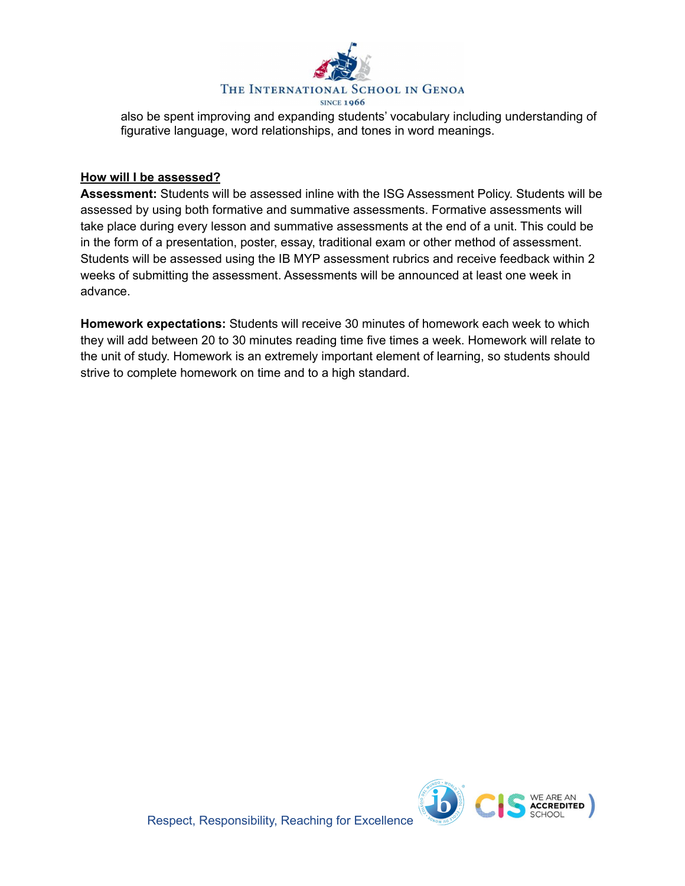

also be spent improving and expanding students' vocabulary including understanding of figurative language, word relationships, and tones in word meanings.

#### **How will I be assessed?**

**Assessment:** Students will be assessed inline with the ISG Assessment Policy. Students will be assessed by using both formative and summative assessments. Formative assessments will take place during every lesson and summative assessments at the end of a unit. This could be in the form of a presentation, poster, essay, traditional exam or other method of assessment. Students will be assessed using the IB MYP assessment rubrics and receive feedback within 2 weeks of submitting the assessment. Assessments will be announced at least one week in advance.

**Homework expectations:** Students will receive 30 minutes of homework each week to which they will add between 20 to 30 minutes reading time five times a week. Homework will relate to the unit of study. Homework is an extremely important element of learning, so students should strive to complete homework on time and to a high standard.

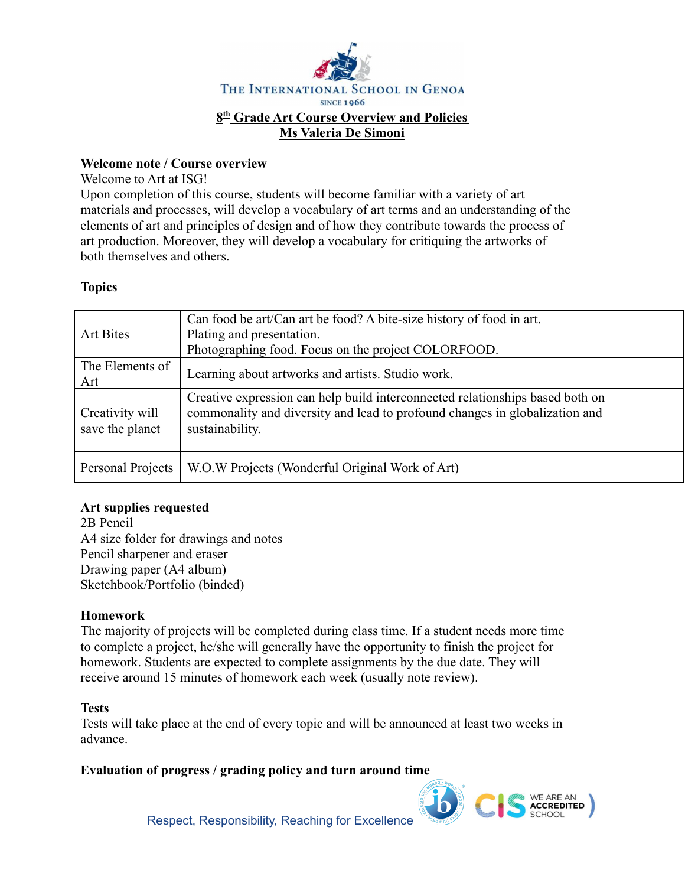

#### **Welcome note / Course overview**

Welcome to Art at ISG!

Upon completion of this course, students will become familiar with a variety of art materials and processes, will develop a vocabulary of art terms and an understanding of the elements of art and principles of design and of how they contribute towards the process of art production. Moreover, they will develop a vocabulary for critiquing the artworks of both themselves and others.

# **Topics**

| Art Bites                          | Can food be art/Can art be food? A bite-size history of food in art.<br>Plating and presentation.<br>Photographing food. Focus on the project COLORFOOD.                        |  |
|------------------------------------|---------------------------------------------------------------------------------------------------------------------------------------------------------------------------------|--|
| The Elements of<br>Art             | Learning about artworks and artists. Studio work.                                                                                                                               |  |
| Creativity will<br>save the planet | Creative expression can help build interconnected relationships based both on<br>commonality and diversity and lead to profound changes in globalization and<br>sustainability. |  |
| Personal Projects                  | W.O.W Projects (Wonderful Original Work of Art)                                                                                                                                 |  |

# **Art supplies requested**

2B Pencil A4 size folder for drawings and notes Pencil sharpener and eraser Drawing paper (A4 album) Sketchbook/Portfolio (binded)

# **Homework**

The majority of projects will be completed during class time. If a student needs more time to complete a project, he/she will generally have the opportunity to finish the project for homework. Students are expected to complete assignments by the due date. They will receive around 15 minutes of homework each week (usually note review).

#### **Tests**

Tests will take place at the end of every topic and will be announced at least two weeks in advance.

# **Evaluation of progress / grading policy and turn around time**



Respect, Responsibility, Reaching for Excellence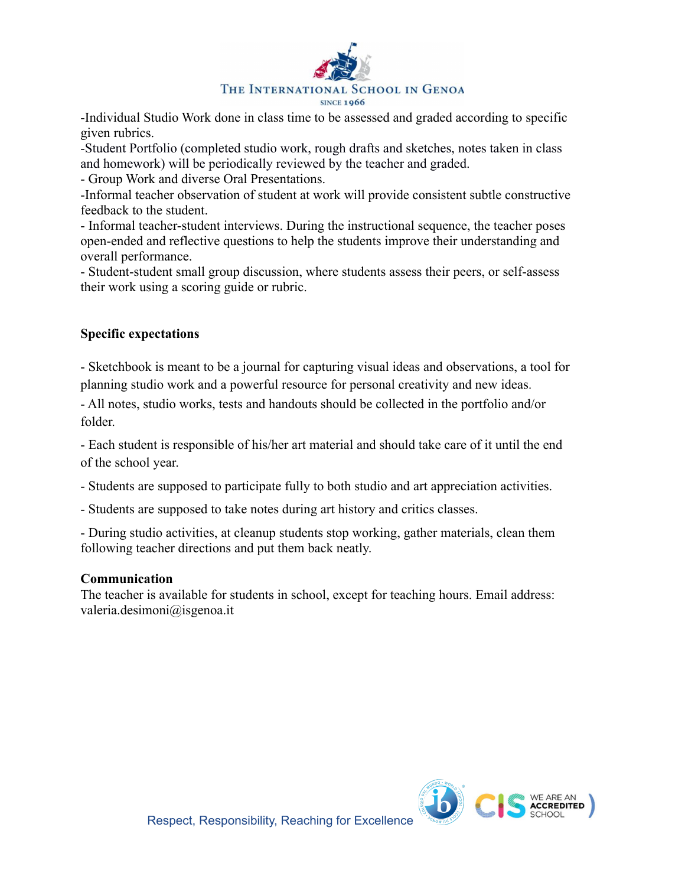

-Individual Studio Work done in class time to be assessed and graded according to specific given rubrics.

-Student Portfolio (completed studio work, rough drafts and sketches, notes taken in class and homework) will be periodically reviewed by the teacher and graded.

- Group Work and diverse Oral Presentations.

-Informal teacher observation of student at work will provide consistent subtle constructive feedback to the student.

- Informal teacher-student interviews. During the instructional sequence, the teacher poses open-ended and reflective questions to help the students improve their understanding and overall performance.

- Student-student small group discussion, where students assess their peers, or self-assess their work using a scoring guide or rubric.

# **Specific expectations**

- Sketchbook is meant to be a journal for capturing visual ideas and observations, a tool for planning studio work and a powerful resource for personal creativity and new ideas.

- All notes, studio works, tests and handouts should be collected in the portfolio and/or folder.

- Each student is responsible of his/her art material and should take care of it until the end of the school year.

- Students are supposed to participate fully to both studio and art appreciation activities.

- Students are supposed to take notes during art history and critics classes.

- During studio activities, at cleanup students stop working, gather materials, clean them following teacher directions and put them back neatly.

# **Communication**

The teacher is available for students in school, except for teaching hours. Email address: valeria.desimoni@isgenoa.it